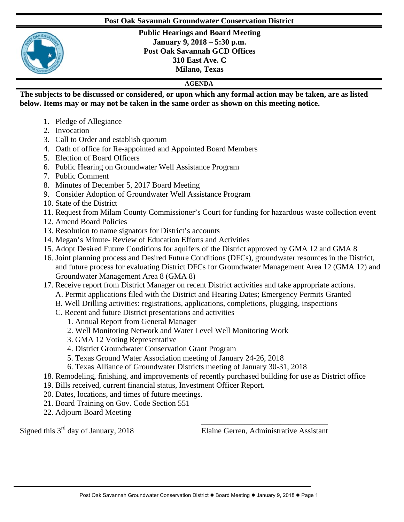## **Post Oak Savannah Groundwater Conservation District**



**Public Hearings and Board Meeting January 9, 2018 – 5:30 p.m. Post Oak Savannah GCD Offices 310 East Ave. C Milano, Texas**

## **AGENDA**

**The subjects to be discussed or considered, or upon which any formal action may be taken, are as listed below. Items may or may not be taken in the same order as shown on this meeting notice.** 

- 1. Pledge of Allegiance
- 2. Invocation
- 3. Call to Order and establish quorum
- 4. Oath of office for Re-appointed and Appointed Board Members
- 5. Election of Board Officers
- 6. Public Hearing on Groundwater Well Assistance Program
- 7. Public Comment
- 8. Minutes of December 5, 2017 Board Meeting
- 9. Consider Adoption of Groundwater Well Assistance Program
- 10. State of the District
- 11. Request from Milam County Commissioner's Court for funding for hazardous waste collection event
- 12. Amend Board Policies
- 13. Resolution to name signators for District's accounts
- 14. Megan's Minute- Review of Education Efforts and Activities
- 15. Adopt Desired Future Conditions for aquifers of the District approved by GMA 12 and GMA 8
- 16. Joint planning process and Desired Future Conditions (DFCs), groundwater resources in the District, and future process for evaluating District DFCs for Groundwater Management Area 12 (GMA 12) and Groundwater Management Area 8 (GMA 8)
- 17. Receive report from District Manager on recent District activities and take appropriate actions.
	- A. Permit applications filed with the District and Hearing Dates; Emergency Permits Granted
	- B. Well Drilling activities: registrations, applications, completions, plugging, inspections
	- C. Recent and future District presentations and activities
		- 1. Annual Report from General Manager
		- 2. Well Monitoring Network and Water Level Well Monitoring Work
		- 3. GMA 12 Voting Representative
		- 4. District Groundwater Conservation Grant Program
		- 5. Texas Ground Water Association meeting of January 24-26, 2018
		- 6. Texas Alliance of Groundwater Districts meeting of January 30-31, 2018
- 18. Remodeling, finishing, and improvements of recently purchased building for use as District office
- 19. Bills received, current financial status, Investment Officer Report.
- 20. Dates, locations, and times of future meetings.
- 21. Board Training on Gov. Code Section 551
- 22. Adjourn Board Meeting

Signed this  $3<sup>rd</sup>$  day of January, 2018

\_\_\_\_\_\_\_\_\_\_\_\_\_\_\_\_\_\_\_\_\_\_\_\_\_\_\_\_\_\_\_\_ Elaine Gerren, Administrative Assistant